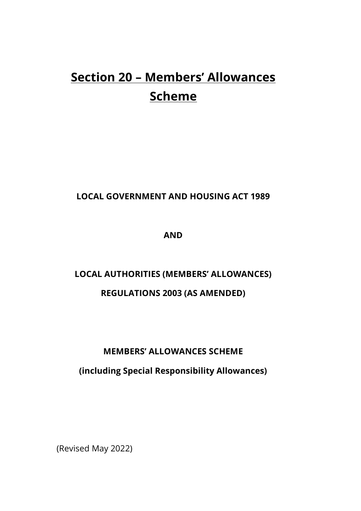# **Section 20 – Members' Allowances Scheme**

## **LOCAL GOVERNMENT AND HOUSING ACT 1989**

**AND**

## **LOCAL AUTHORITIES (MEMBERS' ALLOWANCES) REGULATIONS 2003 (AS AMENDED)**

## **MEMBERS' ALLOWANCES SCHEME**

## **(including Special Responsibility Allowances)**

(Revised May 2022)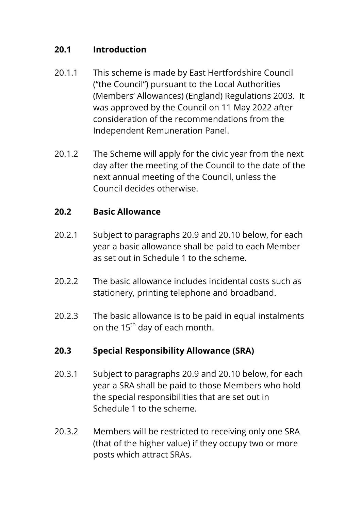## **20.1 Introduction**

- 20.1.1 This scheme is made by East Hertfordshire Council ("the Council") pursuant to the Local Authorities (Members' Allowances) (England) Regulations 2003. It was approved by the Council on 11 May 2022 after consideration of the recommendations from the Independent Remuneration Panel.
- 20.1.2 The Scheme will apply for the civic year from the next day after the meeting of the Council to the date of the next annual meeting of the Council, unless the Council decides otherwise.

## **20.2 Basic Allowance**

- 20.2.1 Subject to paragraphs 20.9 and 20.10 below, for each year a basic allowance shall be paid to each Member as set out in Schedule 1 to the scheme.
- 20.2.2 The basic allowance includes incidental costs such as stationery, printing telephone and broadband.
- 20.2.3 The basic allowance is to be paid in equal instalments on the  $15<sup>th</sup>$  day of each month.

## **20.3 Special Responsibility Allowance (SRA)**

- 20.3.1 Subject to paragraphs 20.9 and 20.10 below, for each year a SRA shall be paid to those Members who hold the special responsibilities that are set out in Schedule 1 to the scheme.
- 20.3.2 Members will be restricted to receiving only one SRA (that of the higher value) if they occupy two or more posts which attract SRAs.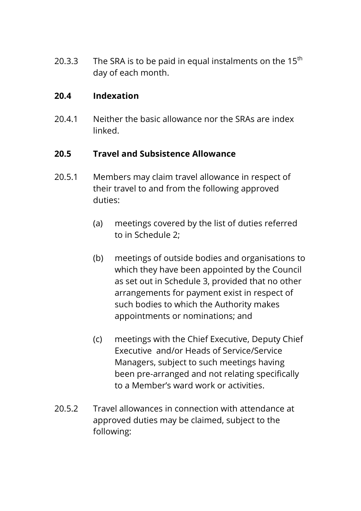20.3.3 The SRA is to be paid in equal instalments on the  $15<sup>th</sup>$ day of each month.

## **20.4 Indexation**

20.4.1 Neither the basic allowance nor the SRAs are index linked.

## **20.5 Travel and Subsistence Allowance**

- 20.5.1 Members may claim travel allowance in respect of their travel to and from the following approved duties:
	- (a) meetings covered by the list of duties referred to in Schedule 2;
	- (b) meetings of outside bodies and organisations to which they have been appointed by the Council as set out in Schedule 3, provided that no other arrangements for payment exist in respect of such bodies to which the Authority makes appointments or nominations; and
	- (c) meetings with the Chief Executive, Deputy Chief Executive and/or Heads of Service/Service Managers, subject to such meetings having been pre-arranged and not relating specifically to a Member's ward work or activities.
- 20.5.2 Travel allowances in connection with attendance at approved duties may be claimed, subject to the following: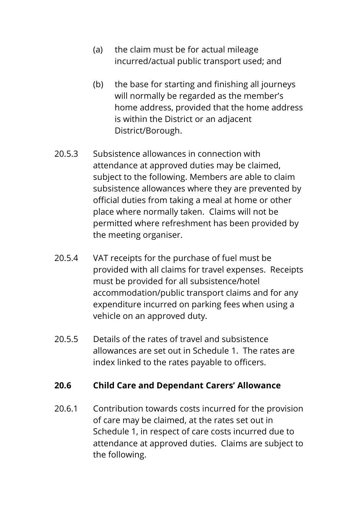- (a) the claim must be for actual mileage incurred/actual public transport used; and
- (b) the base for starting and finishing all journeys will normally be regarded as the member's home address, provided that the home address is within the District or an adjacent District/Borough.
- 20.5.3 Subsistence allowances in connection with attendance at approved duties may be claimed, subject to the following. Members are able to claim subsistence allowances where they are prevented by official duties from taking a meal at home or other place where normally taken. Claims will not be permitted where refreshment has been provided by the meeting organiser.
- 20.5.4 VAT receipts for the purchase of fuel must be provided with all claims for travel expenses. Receipts must be provided for all subsistence/hotel accommodation/public transport claims and for any expenditure incurred on parking fees when using a vehicle on an approved duty.
- 20.5.5 Details of the rates of travel and subsistence allowances are set out in Schedule 1. The rates are index linked to the rates payable to officers.

#### **20.6 Child Care and Dependant Carers' Allowance**

20.6.1 Contribution towards costs incurred for the provision of care may be claimed, at the rates set out in Schedule 1, in respect of care costs incurred due to attendance at approved duties. Claims are subject to the following.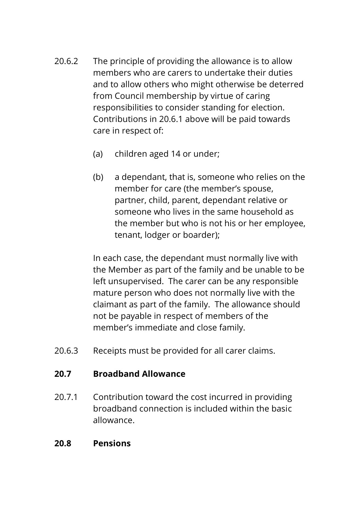- 20.6.2 The principle of providing the allowance is to allow members who are carers to undertake their duties and to allow others who might otherwise be deterred from Council membership by virtue of caring responsibilities to consider standing for election. Contributions in 20.6.1 above will be paid towards care in respect of:
	- (a) children aged 14 or under;
	- (b) a dependant, that is, someone who relies on the member for care (the member's spouse, partner, child, parent, dependant relative or someone who lives in the same household as the member but who is not his or her employee, tenant, lodger or boarder);

In each case, the dependant must normally live with the Member as part of the family and be unable to be left unsupervised. The carer can be any responsible mature person who does not normally live with the claimant as part of the family. The allowance should not be payable in respect of members of the member's immediate and close family.

20.6.3 Receipts must be provided for all carer claims.

## **20.7 Broadband Allowance**

20.7.1 Contribution toward the cost incurred in providing broadband connection is included within the basic allowance.

## **20.8 Pensions**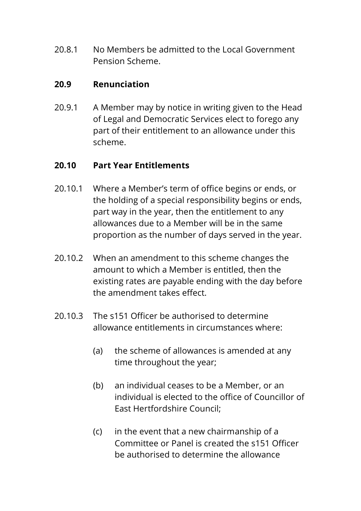20.8.1 No Members be admitted to the Local Government Pension Scheme.

## **20.9 Renunciation**

20.9.1 A Member may by notice in writing given to the Head of Legal and Democratic Services elect to forego any part of their entitlement to an allowance under this scheme.

## **20.10 Part Year Entitlements**

- 20.10.1 Where a Member's term of office begins or ends, or the holding of a special responsibility begins or ends, part way in the year, then the entitlement to any allowances due to a Member will be in the same proportion as the number of days served in the year.
- 20.10.2 When an amendment to this scheme changes the amount to which a Member is entitled, then the existing rates are payable ending with the day before the amendment takes effect.
- 20.10.3 The s151 Officer be authorised to determine allowance entitlements in circumstances where:
	- (a) the scheme of allowances is amended at any time throughout the year;
	- (b) an individual ceases to be a Member, or an individual is elected to the office of Councillor of East Hertfordshire Council;
	- (c) in the event that a new chairmanship of a Committee or Panel is created the s151 Officer be authorised to determine the allowance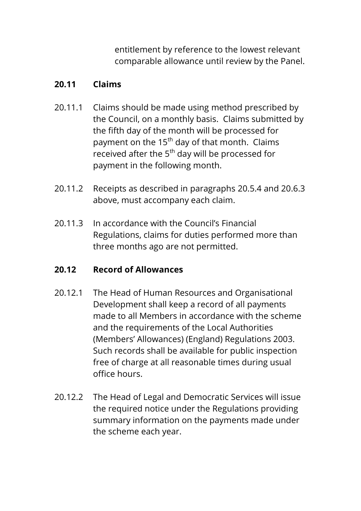entitlement by reference to the lowest relevant comparable allowance until review by the Panel.

## **20.11 Claims**

- 20.11.1 Claims should be made using method prescribed by the Council, on a monthly basis. Claims submitted by the fifth day of the month will be processed for payment on the 15<sup>th</sup> day of that month. Claims received after the  $5<sup>th</sup>$  day will be processed for payment in the following month.
- 20.11.2 Receipts as described in paragraphs 20.5.4 and 20.6.3 above, must accompany each claim.
- 20.11.3 In accordance with the Council's Financial Regulations, claims for duties performed more than three months ago are not permitted.

## **20.12 Record of Allowances**

- 20.12.1 The Head of Human Resources and Organisational Development shall keep a record of all payments made to all Members in accordance with the scheme and the requirements of the Local Authorities (Members' Allowances) (England) Regulations 2003. Such records shall be available for public inspection free of charge at all reasonable times during usual office hours.
- 20.12.2 The Head of Legal and Democratic Services will issue the required notice under the Regulations providing summary information on the payments made under the scheme each year.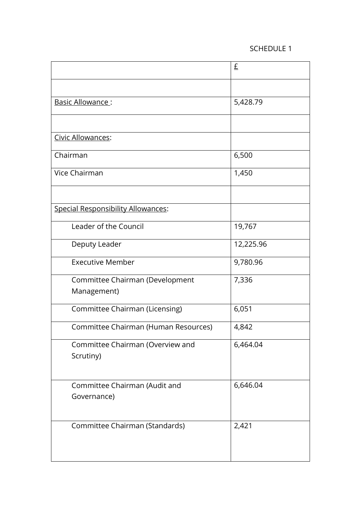#### SCHEDULE 1

|                                                | £         |
|------------------------------------------------|-----------|
|                                                |           |
| Basic Allowance:                               | 5,428.79  |
|                                                |           |
| Civic Allowances:                              |           |
| Chairman                                       | 6,500     |
| Vice Chairman                                  | 1,450     |
|                                                |           |
| Special Responsibility Allowances:             |           |
| Leader of the Council                          | 19,767    |
| Deputy Leader                                  | 12,225.96 |
| <b>Executive Member</b>                        | 9,780.96  |
| Committee Chairman (Development<br>Management) | 7,336     |
| Committee Chairman (Licensing)                 | 6,051     |
| Committee Chairman (Human Resources)           | 4,842     |
| Committee Chairman (Overview and<br>Scrutiny)  | 6,464.04  |
| Committee Chairman (Audit and<br>Governance)   | 6,646.04  |
| Committee Chairman (Standards)                 | 2,421     |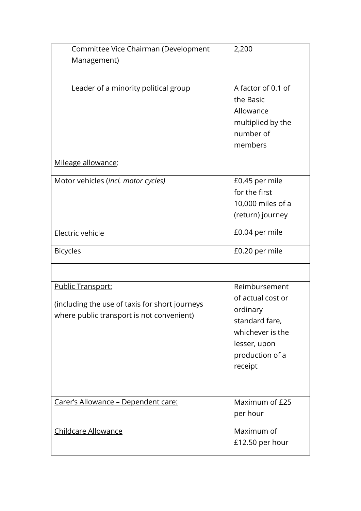| Committee Vice Chairman (Development           | 2,200              |
|------------------------------------------------|--------------------|
| Management)                                    |                    |
|                                                |                    |
| Leader of a minority political group           | A factor of 0.1 of |
|                                                | the Basic          |
|                                                | Allowance          |
|                                                | multiplied by the  |
|                                                | number of          |
|                                                | members            |
|                                                |                    |
| Mileage allowance:                             |                    |
| Motor vehicles (incl. motor cycles)            | £0.45 per mile     |
|                                                | for the first      |
|                                                | 10,000 miles of a  |
|                                                | (return) journey   |
| Electric vehicle                               | £0.04 per mile     |
|                                                |                    |
| <b>Bicycles</b>                                | £0.20 per mile     |
|                                                |                    |
| Public Transport:                              | Reimbursement      |
|                                                | of actual cost or  |
| (including the use of taxis for short journeys | ordinary           |
| where public transport is not convenient)      | standard fare,     |
|                                                | whichever is the   |
|                                                | lesser, upon       |
|                                                | production of a    |
|                                                | receipt            |
|                                                |                    |
| Carer's Allowance - Dependent care:            | Maximum of £25     |
|                                                | per hour           |
| Childcare Allowance                            | Maximum of         |
|                                                | £12.50 per hour    |
|                                                |                    |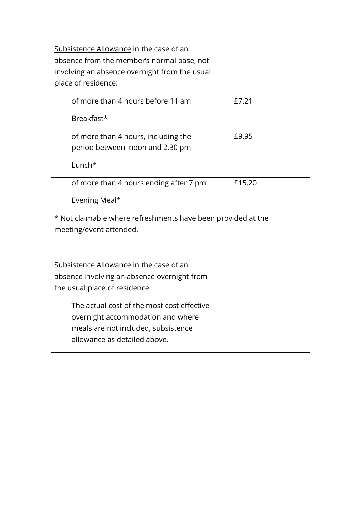| Subsistence Allowance in the case of an                      |        |  |
|--------------------------------------------------------------|--------|--|
| absence from the member's normal base, not                   |        |  |
| involving an absence overnight from the usual                |        |  |
| place of residence:                                          |        |  |
|                                                              |        |  |
| of more than 4 hours before 11 am                            | £7.21  |  |
| Breakfast*                                                   |        |  |
| of more than 4 hours, including the                          | £9.95  |  |
| period between noon and 2.30 pm                              |        |  |
| Lunch*                                                       |        |  |
| of more than 4 hours ending after 7 pm                       | £15.20 |  |
| Evening Meal*                                                |        |  |
| * Not claimable where refreshments have been provided at the |        |  |
| meeting/event attended.                                      |        |  |
|                                                              |        |  |
|                                                              |        |  |
| Subsistence Allowance in the case of an                      |        |  |
| absence involving an absence overnight from                  |        |  |
| the usual place of residence:                                |        |  |
| The actual cost of the most cost effective                   |        |  |
|                                                              |        |  |
| overnight accommodation and where                            |        |  |
| meals are not included, subsistence                          |        |  |
| allowance as detailed above.                                 |        |  |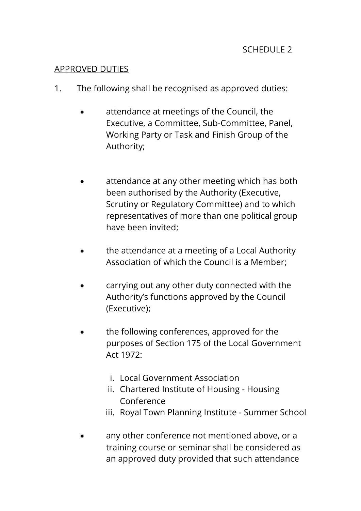## APPROVED DUTIES

- 1. The following shall be recognised as approved duties:
	- attendance at meetings of the Council, the Executive, a Committee, Sub-Committee, Panel, Working Party or Task and Finish Group of the Authority;
	- attendance at any other meeting which has both been authorised by the Authority (Executive, Scrutiny or Regulatory Committee) and to which representatives of more than one political group have been invited;
	- the attendance at a meeting of a Local Authority Association of which the Council is a Member;
	- carrying out any other duty connected with the Authority's functions approved by the Council (Executive);
	- the following conferences, approved for the purposes of Section 175 of the Local Government Act 1972:
		- i. Local Government Association
		- ii. Chartered Institute of Housing Housing Conference
		- iii. Royal Town Planning Institute Summer School
	- any other conference not mentioned above, or a training course or seminar shall be considered as an approved duty provided that such attendance